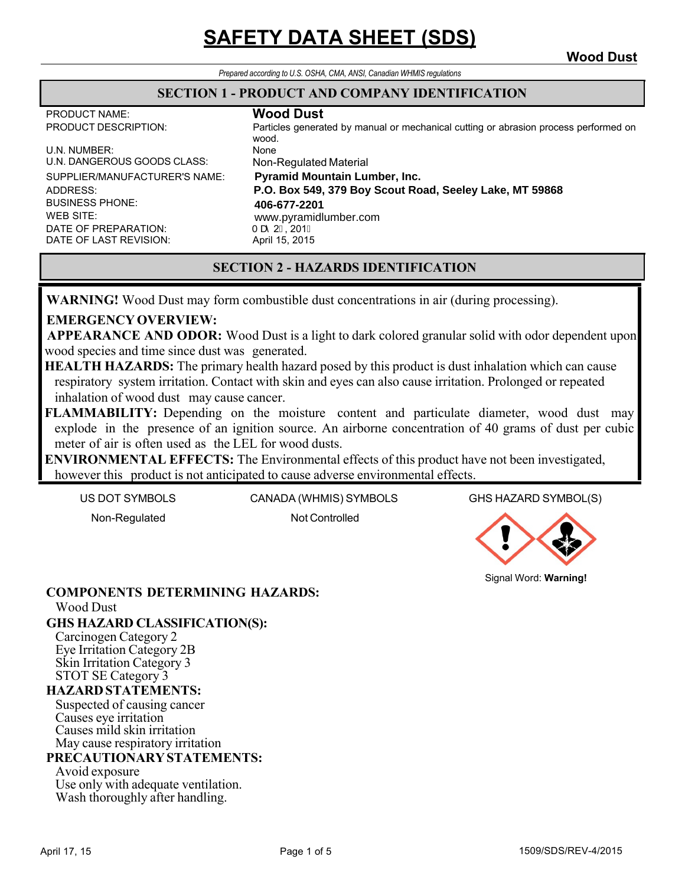## **SAFETY DATA SHEET (SDS) Wood Dust**

*Prepared according to U.S. OSHA, CMA, ANSI, Canadian WHMIS regulations*

#### **SECTION 1 - PRODUCT AND COMPANY IDENTIFICATION**

PRODUCT NAME: **Wood Dust**

Particles generated by manual or mechanical cutting or abrasion process performed on wood.

U.N. NUMBER: None U.N. DANGEROUS GOODS CLASS: Non-Regulated Material SUPPLIER/MANUFACTURER'S NAME: ADDRESS: BUSINESS PHONE: WEB SITE: DATE OF PREPARATION: Ta 2€, 201Î<br>DATE OF LAST REVISION: April 15, 2015 DATE OF LAST REVISION:

**Pyramid Mountain Lumber, Inc. P.O. Box 549, 379 Boy Scout Road, Seeley Lake, MT 59868 406-677-2201** www.pyramidlumber.com

#### **SECTION 2 - HAZARDS IDENTIFICATION**

**WARNING!** Wood Dust may form combustible dust concentrations in air (during processing).

#### **EMERGENCY OVERVIEW:**

 **APPEARANCE AND ODOR:** Wood Dust is a light to dark colored granular solid with odor dependent upon wood species and time since dust was generated.

**HEALTH HAZARDS:** The primary health hazard posed by this product is dust inhalation which can cause respiratory system irritation. Contact with skin and eyes can also cause irritation. Prolonged or repeated inhalation of wood dust may cause cancer.

**FLAMMABILITY:** Depending on the moisture content and particulate diameter, wood dust may explode in the presence of an ignition source. An airborne concentration of 40 grams of dust per cubic meter of air is often used as the LEL for wood dusts.

**ENVIRONMENTAL EFFECTS:** The Environmental effects of this product have not been investigated, however this product is not anticipated to cause adverse environmental effects.

US DOT SYMBOLS CANADA (WHMIS) SYMBOLS GHS HAZARD SYMBOL(S)

Non-Regulated Not Controlled



Signal Word: **Warning!**

#### **COMPONENTS DETERMINING HAZARDS:** Wood Dust

### **GHS HAZARD CLASSIFICATION(S):**<br>Carcinogen Category 2

Eye Irritation Category 2B<br>Skin Irritation Category 3<br>STOT SE Category 3

#### **HAZARD STATEMENTS:**

Suspected of causing cancer Causes eye irritation Causes mild skin irritation May cause respiratory irritation

#### **PRECAUTIONARY STATEMENTS:**

Avoid exposure

Use only with adequate ventilation. Wash thoroughly after handling.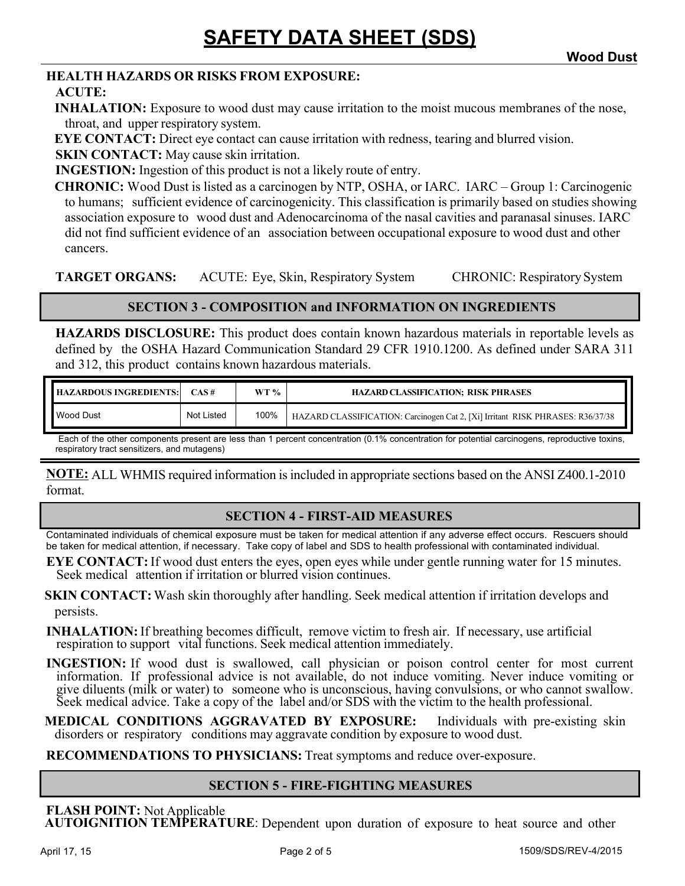#### **HEALTH HAZARDS OR RISKS FROM EXPOSURE:**

#### **ACUTE:**

**INHALATION:** Exposure to wood dust may cause irritation to the moist mucous membranes of the nose, throat, and upper respiratory system.

**EYE CONTACT:** Direct eye contact can cause irritation with redness, tearing and blurred vision.

**SKIN CONTACT:** May cause skin irritation.

**INGESTION:** Ingestion of this product is not a likely route of entry.

**CHRONIC:** Wood Dust is listed as a carcinogen by NTP, OSHA, or IARC. IARC – Group 1: Carcinogenic to humans; sufficient evidence of carcinogenicity. This classification is primarily based on studies showing association exposure to wood dust and Adenocarcinoma of the nasal cavities and paranasal sinuses. IARC did not find sufficient evidence of an association between occupational exposure to wood dust and other cancers.

**TARGET ORGANS:** ACUTE: Eye, Skin, Respiratory System CHRONIC: Respiratory System

#### **SECTION 3 - COMPOSITION and INFORMATION ON INGREDIENTS**

**HAZARDS DISCLOSURE:** This product does contain known hazardous materials in reportable levels as defined by the OSHA Hazard Communication Standard 29 CFR 1910.1200. As defined under SARA 311 and 312, this product contains known hazardous materials.

| <b>HAZARDOUS INGREDIENTS:</b> | $CAS \#$   | WT % | <b>HAZARD CLASSIFICATION: RISK PHRASES</b>                                     |
|-------------------------------|------------|------|--------------------------------------------------------------------------------|
| <b>Nood Dust</b>              | Not Listed | 100% | HAZARD CLASSIFICATION: Carcinogen Cat 2, [Xi] Irritant RISK PHRASES: R36/37/38 |

Each of the other components present are less than 1 percent concentration (0.1% concentration for potential carcinogens, reproductive toxins, respiratory tract sensitizers, and mutagens)

**NOTE:** ALL WHMIS required information is included in appropriate sections based on the ANSI Z400.1-2010 format.

#### **SECTION 4 - FIRST-AID MEASURES**

Contaminated individuals of chemical exposure must be taken for medical attention if any adverse effect occurs. Rescuers should be taken for medical attention, if necessary. Take copy of label and SDS to health professional with contaminated individual.

**EYE CONTACT:** If wood dust enters the eyes, open eyes while under gentle running water for 15 minutes. Seek medical attention if irritation or blurred vision continues.

**SKIN CONTACT:** Wash skin thoroughly after handling. Seek medical attention if irritation develops and persists.

**INHALATION:**If breathing becomes difficult, remove victim to fresh air. If necessary, use artificial respiration to support vital functions. Seek medical attention immediately.

**INGESTION:** If wood dust is swallowed, call physician or poison control center for most current information. If professional advice is not available, do not induce vomiting. Never induce vomiting or give diluents (milk or water) to someone who is unconscious, having convulsions, or who cannot swallow. Seek medical advice. Take a copy of the label and/or SDS with the victim to the health professional.

**MEDICAL CONDITIONS AGGRAVATED BY EXPOSURE:** Individuals with pre-existing skin disorders or respiratory conditions may aggravate condition by exposure to wood dust.

**RECOMMENDATIONS TO PHYSICIANS:** Treat symptoms and reduce over-exposure.

#### **SECTION 5 - FIRE-FIGHTING MEASURES**

**FLASH POINT:** Not Applicable **AUTOIGNITION TEMPERATURE**: Dependent upon duration of exposure to heat source and other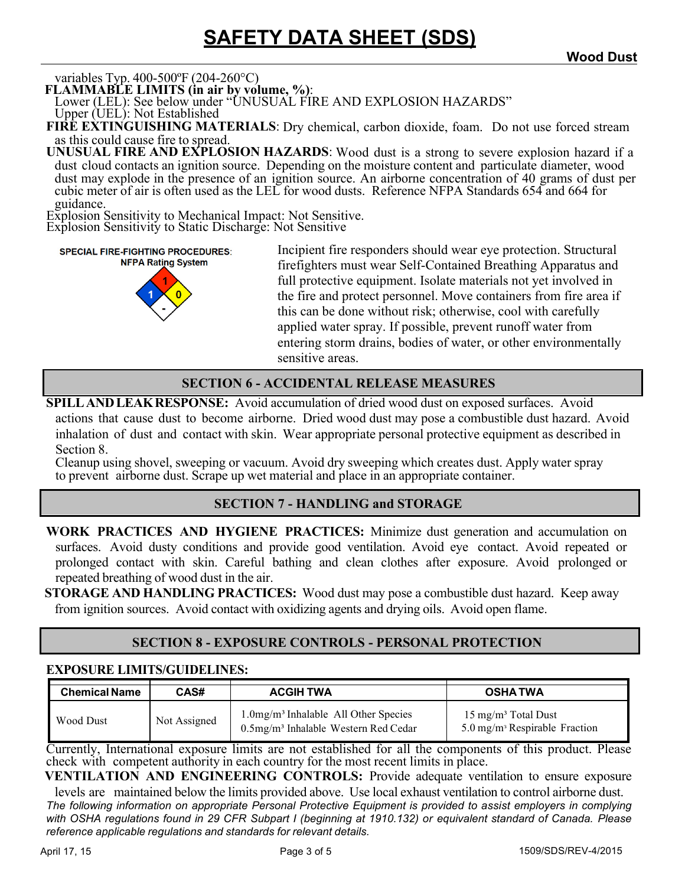# **SAFETY DATA SHEET (SDS) Wood Dust**

variables Typ. 400-500ºF (204-260°C)

**FLAMMABLE LIMITS (in air by volume, %)**: Lower (LEL): See below under "UNUSUAL FIRE AND EXPLOSION HAZARDS"

Upper (UEL): Not Established

**FIRE EXTINGUISHING MATERIALS**: Dry chemical, carbon dioxide, foam. Do not use forced stream as this could cause fire to spread.

**UNUSUAL FIRE AND EXPLOSION HAZARDS**: Wood dust is a strong to severe explosion hazard if a dust cloud contacts an ignition source. Depending on the moisture content and particulate diameter, wood dust may explode in the presence of an ignition source. An airborne concentration of 40 grams of dust per cubic meter of air is often used as the LEL for wood dusts. Reference NFPA Standards 654 and 664 for guidance.

Explosion Sensitivity to Mechanical Impact: Not Sensitive. Explosion Sensitivity to Static Discharge: Not Sensitive

**SPECIAL FIRE-FIGHTING PROCEDURES: NFPA Rating System** 



Incipient fire responders should wear eye protection. Structural firefighters must wear Self-Contained Breathing Apparatus and full protective equipment. Isolate materials not yet involved in the fire and protect personnel. Move containers from fire area if this can be done without risk; otherwise, cool with carefully applied water spray. If possible, prevent runoff water from entering storm drains, bodies of water, or other environmentally sensitive areas.

#### **SECTION 6 - ACCIDENTAL RELEASE MEASURES**

**SPILL AND LEAK RESPONSE:** Avoid accumulation of dried wood dust on exposed surfaces.Avoid actions that cause dust to become airborne. Dried wood dust may pose a combustible dust hazard. Avoid inhalation of dust and contact with skin. Wear appropriate personal protective equipment as described in Section 8.

Cleanup using shovel, sweeping or vacuum. Avoid dry sweeping which creates dust. Apply water spray to prevent airborne dust. Scrape up wet material and place in an appropriate container.

#### **SECTION 7 - HANDLING and STORAGE**

**WORK PRACTICES AND HYGIENE PRACTICES:** Minimize dust generation and accumulation on surfaces. Avoid dusty conditions and provide good ventilation. Avoid eye contact. Avoid repeated or prolonged contact with skin. Careful bathing and clean clothes after exposure. Avoid prolonged or repeated breathing of wood dust in the air.

**STORAGE AND HANDLING PRACTICES:** Wood dust may pose a combustible dust hazard. Keep away from ignition sources. Avoid contact with oxidizing agents and drying oils. Avoid open flame.

#### **SECTION 8 - EXPOSURE CONTROLS - PERSONAL PROTECTION**

#### **EXPOSURE LIMITS/GUIDELINES:**

| <b>Chemical Name</b> | CAS#         | <b>ACGIH TWA</b>                                                                                           | <b>OSHATWA</b>                                                                           |
|----------------------|--------------|------------------------------------------------------------------------------------------------------------|------------------------------------------------------------------------------------------|
| Wood Dust            | Not Assigned | $1.0$ mg/m <sup>3</sup> Inhalable All Other Species<br>$0.5$ mg/m <sup>3</sup> Inhalable Western Red Cedar | $15 \text{ mg/m}^3$ Total Dust<br>$5.0 \,\mathrm{mg/m}$ <sup>3</sup> Respirable Fraction |

Currently, International exposure limits are not established for all the components of this product. Please check with competent authority in each country for the most recent limits in place.

**VENTILATION AND ENGINEERING CONTROLS:** Provide adequate ventilation to ensure exposure levels are maintained below the limits provided above. Use local exhaust ventilation to control airborne dust.

*The following information on appropriate Personal Protective Equipment is provided to assist employers in complying with OSHA regulations found in 29 CFR Subpart I (beginning at 1910.132) or equivalent standard of Canada. Please reference applicable regulations and standards for relevant details.*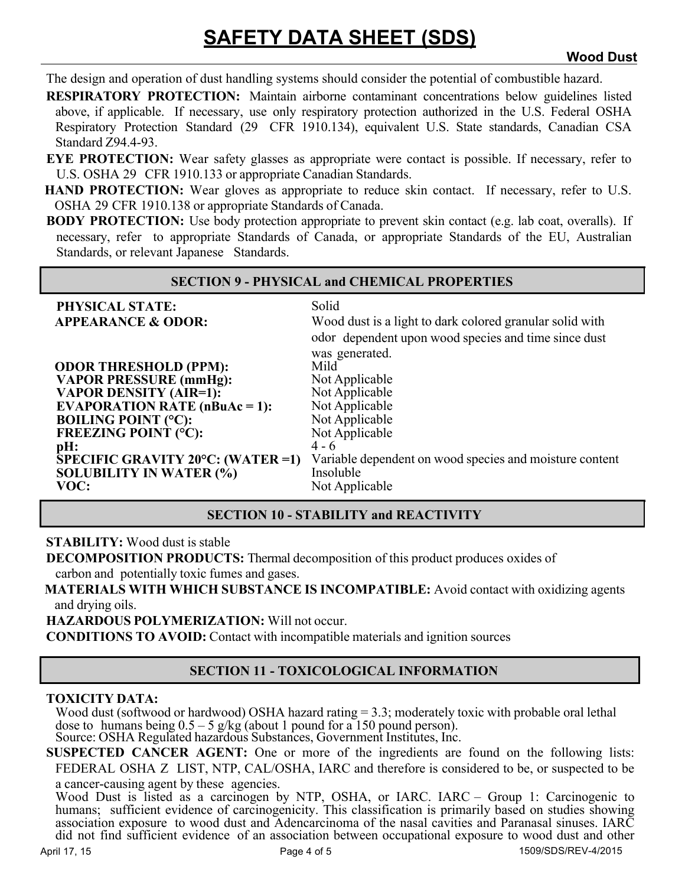## **SAFETY DATA SHEET (SDS) Wood Dust**

The design and operation of dust handling systems should consider the potential of combustible hazard.

**RESPIRATORY PROTECTION:** Maintain airborne contaminant concentrations below guidelines listed above, if applicable. If necessary, use only respiratory protection authorized in the U.S. Federal OSHA Respiratory Protection Standard (29 CFR 1910.134), equivalent U.S. State standards, Canadian CSA Standard Z94.4-93.

- **EYE PROTECTION:** Wear safety glasses as appropriate were contact is possible. If necessary, refer to U.S. OSHA 29 CFR 1910.133 or appropriate Canadian Standards.
- **HAND PROTECTION:** Wear gloves as appropriate to reduce skin contact. If necessary, refer to U.S. OSHA 29 CFR 1910.138 or appropriate Standards of Canada.
- **BODY PROTECTION:** Use body protection appropriate to prevent skin contact (e.g. lab coat, overalls). If necessary, refer to appropriate Standards of Canada, or appropriate Standards of the EU, Australian Standards, or relevant Japanese Standards.

#### **SECTION 9 - PHYSICAL and CHEMICAL PROPERTIES**

| PHYSICAL STATE:                                       | Solid                                                    |
|-------------------------------------------------------|----------------------------------------------------------|
| <b>APPEARANCE &amp; ODOR:</b>                         | Wood dust is a light to dark colored granular solid with |
|                                                       | odor dependent upon wood species and time since dust     |
|                                                       | was generated.                                           |
| <b>ODOR THRESHOLD (PPM):</b>                          | Mild                                                     |
| <b>VAPOR PRESSURE (mmHg):</b>                         | Not Applicable                                           |
| <b>VAPOR DENSITY (AIR=1):</b>                         | Not Applicable                                           |
| <b>EVAPORATION RATE (nBuAc = 1):</b>                  | Not Applicable                                           |
| <b>BOILING POINT (°C):</b>                            | Not Applicable                                           |
| <b>FREEZING POINT (°C):</b>                           | Not Applicable                                           |
| pH:                                                   | $4 - 6$                                                  |
| $\overline{\text{SPECIFIC}}$ GRAVITY 20°C: (WATER =1) | Variable dependent on wood species and moisture content  |
| <b>SOLUBILITY IN WATER (%)</b>                        | Insoluble                                                |
| VOC:                                                  | Not Applicable                                           |

#### **SECTION 10 - STABILITY and REACTIVITY**

**STABILITY:** Wood dust is stable

**DECOMPOSITION PRODUCTS:** Thermal decomposition of this product produces oxides of carbon and potentially toxic fumes and gases.

**MATERIALS WITH WHICH SUBSTANCE IS INCOMPATIBLE:** Avoid contact with oxidizing agents and drying oils.

**HAZARDOUS POLYMERIZATION:** Will not occur.

**CONDITIONS TO AVOID:** Contact with incompatible materials and ignition sources

#### **SECTION 11 - TOXICOLOGICAL INFORMATION**

#### **TOXICITY DATA:**

Wood dust (softwood or hardwood) OSHA hazard rating = 3.3; moderately toxic with probable oral lethal dose to humans being  $0.5 - 5$  g/kg (about 1 pound for a 150 pound person).

Source: OSHA Regulated hazardous Substances, Government Institutes, Inc.

**SUSPECTED CANCER AGENT:** One or more of the ingredients are found on the following lists: FEDERAL OSHA Z LIST, NTP, CAL/OSHA, IARC and therefore is considered to be, or suspected to be a cancer-causing agent by these agencies.

Wood Dust is listed as a carcinogen by NTP, OSHA, or IARC. IARC – Group 1: Carcinogenic to humans; sufficient evidence of carcinogenicity. This classification is primarily based on studies showing association exposure to wood dust and Adencarcinoma of the nasal cavities and Paranasal sinuses. IARC did not find sufficient evidence of an association between occupational exposure to wood dust and other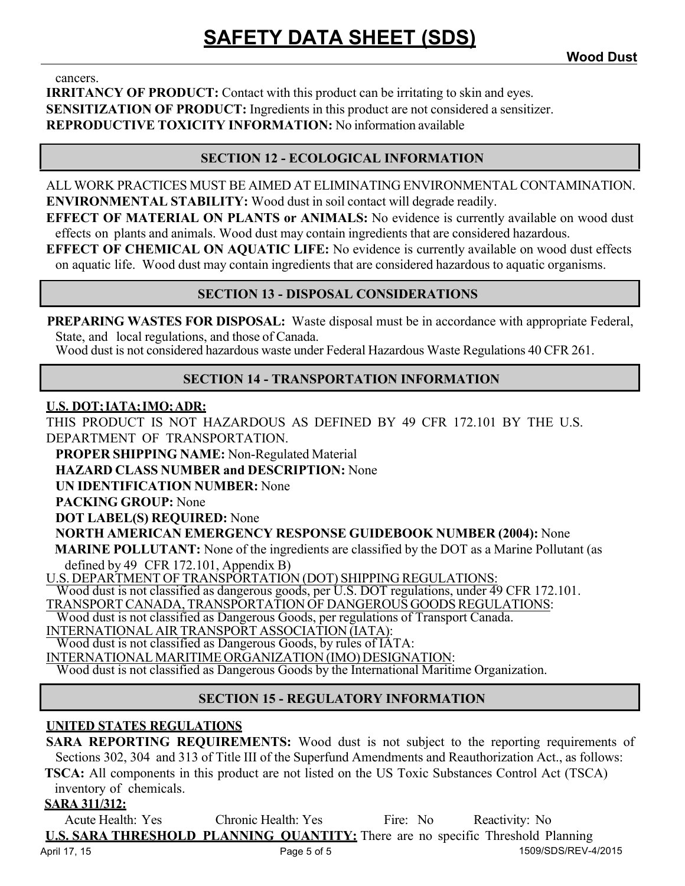cancers.

**IRRITANCY OF PRODUCT:** Contact with this product can be irritating to skin and eyes. **SENSITIZATION OF PRODUCT:** Ingredients in this product are not considered a sensitizer. **REPRODUCTIVE TOXICITY INFORMATION:** No information available

#### **SECTION 12 - ECOLOGICAL INFORMATION**

ALL WORK PRACTICES MUST BE AIMED AT ELIMINATING ENVIRONMENTAL CONTAMINATION. **ENVIRONMENTAL STABILITY:** Wood dust in soil contact will degrade readily.

**EFFECT OF MATERIAL ON PLANTS or ANIMALS:** No evidence is currently available on wood dust effects on plants and animals. Wood dust may contain ingredients that are considered hazardous.

**EFFECT OF CHEMICAL ON AQUATIC LIFE:** No evidence is currently available on wood dust effects on aquatic life. Wood dust may contain ingredients that are considered hazardous to aquatic organisms.

#### **SECTION 13 - DISPOSAL CONSIDERATIONS**

**PREPARING WASTES FOR DISPOSAL:** Waste disposal must be in accordance with appropriate Federal, State, and local regulations, and those of Canada.

Wood dust is not considered hazardous waste under Federal Hazardous Waste Regulations 40 CFR 261.

#### **SECTION 14 - TRANSPORTATION INFORMATION**

#### **U.S. DOT; IATA; IMO; ADR:**

THIS PRODUCT IS NOT HAZARDOUS AS DEFINED BY 49 CFR 172.101 BY THE U.S. DEPARTMENT OF TRANSPORTATION.

**PROPER SHIPPING NAME:** Non-Regulated Material

**HAZARD CLASS NUMBER and DESCRIPTION:** None

**UN IDENTIFICATION NUMBER:** None

**PACKING GROUP:** None

**DOT LABEL(S) REQUIRED:** None

**NORTH AMERICAN EMERGENCY RESPONSE GUIDEBOOK NUMBER (2004):** None

**MARINE POLLUTANT:** None of the ingredients are classified by the DOT as a Marine Pollutant (as defined by 49 CFR 172.101, Appendix B)

U.S. DEPARTMENT OF TRANSPORTATION (DOT) SHIPPING REGULATIONS:

Wood dust is not classified as dangerous goods, per U.S. DOT regulations, under 49 CFR 172.101.

TRANSPORT CANADA, TRANSPORTATION OF DANGEROUS GOODS REGULATIONS:

Wood dust is not classified as Dangerous Goods, per regulations of Transport Canada.

INTERNATIONAL AIR TRANSPORT ASSOCIATION (IATA): Wood dust is not classified as Dangerous Goods, by rules of IATA:

INTERNATIONAL MARITIME ORGANIZATION (IMO) DESIGNATION:

Wood dust is not classified as Dangerous Goods by the International Maritime Organization.

#### **SECTION 15 - REGULATORY INFORMATION**

#### **UNITED STATES REGULATIONS**

**SARA REPORTING REQUIREMENTS:** Wood dust is not subject to the reporting requirements of Sections 302, 304 and 313 of Title III of the Superfund Amendments and Reauthorization Act., as follows: **TSCA:** All components in this product are not listed on the US Toxic Substances Control Act (TSCA)

inventory of chemicals.

#### **SARA 311/312:**

April 17, 15 **Page 5 of 5** 1509/SDS/REV-4/2015 Acute Health: Yes Chronic Health: Yes Fire: No Reactivity: No **U.S. SARA THRESHOLD PLANNING QUANTITY:** There are no specific Threshold Planning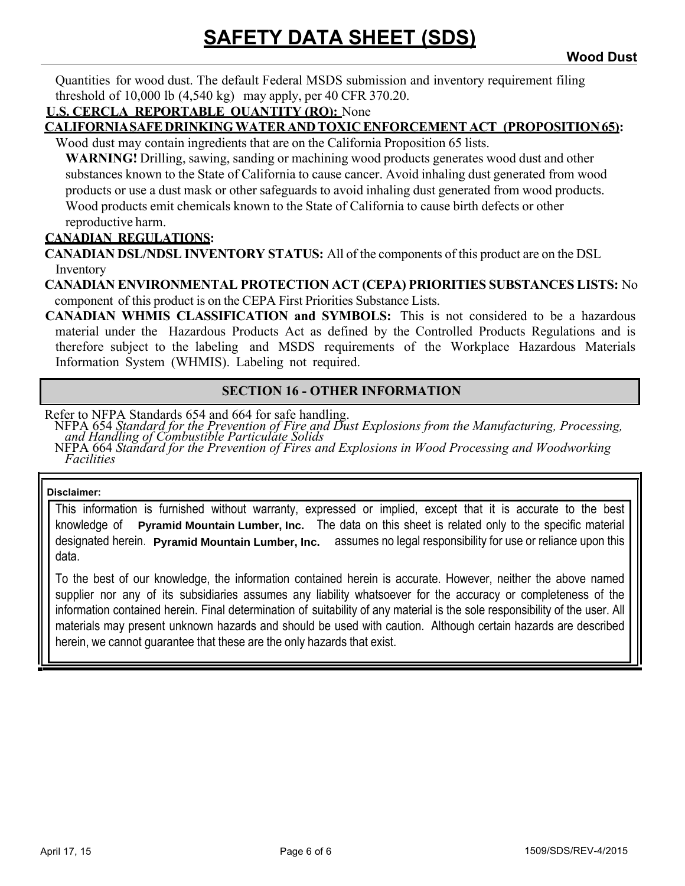Quantities for wood dust. The default Federal MSDS submission and inventory requirement filing threshold of 10,000 lb (4,540 kg) may apply, per 40 CFR 370.20.

#### **U.S. CERCLA REPORTABLE QUANTITY (RQ):** None

#### **CALIFORNIA SAFE DRINKING WATER AND TOXIC ENFORCEMENT ACT (PROPOSITION 65):**

Wood dust may contain ingredients that are on the California Proposition 65 lists.

**WARNING!** Drilling, sawing, sanding or machining wood products generates wood dust and other substances known to the State of California to cause cancer. Avoid inhaling dust generated from wood products or use a dust mask or other safeguards to avoid inhaling dust generated from wood products. Wood products emit chemicals known to the State of California to cause birth defects or other reproductive harm.

#### **CANADIAN REGULATIONS:**

**CANADIAN DSL/NDSL INVENTORY STATUS:** All of the components of this product are on the DSL Inventory

**CANADIAN ENVIRONMENTAL PROTECTION ACT (CEPA) PRIORITIES SUBSTANCES LISTS:** No component of this product is on the CEPA First Priorities Substance Lists.

**CANADIAN WHMIS CLASSIFICATION and SYMBOLS:** This is not considered to be a hazardous material under the Hazardous Products Act as defined by the Controlled Products Regulations and is therefore subject to the labeling and MSDS requirements of the Workplace Hazardous Materials Information System (WHMIS). Labeling not required.

#### **SECTION 16 - OTHER INFORMATION**

Refer to NFPA Standards 654 and 664 for safe handling.

NFPA 654 Standard for the Prevention of Fire and Dust Explosions from the Manufacturing, Processing, and Handling of Combustible Particulate Solids

NFPA 664 *Standard for the Prevention of Fires and Explosions in Wood Processing and Woodworking Facilities*

#### **Disclaimer:**

This information is furnished without warranty, expressed or implied, except that it is accurate to the best knowledge of Pyramid Mountain Lumber, Inc. The data on this sheet is related only to the specific material designated herein **Pyramid Mountain Lumber, Inc.** assumes no legal responsibility for use or reliance upon this data.

To the best of our knowledge, the information contained herein is accurate. However, neither the above named supplier nor any of its subsidiaries assumes any liability whatsoever for the accuracy or completeness of the information contained herein. Final determination of suitability of any material is the sole responsibility of the user. All materials may present unknown hazards and should be used with caution. Although certain hazards are described herein, we cannot guarantee that these are the only hazards that exist.